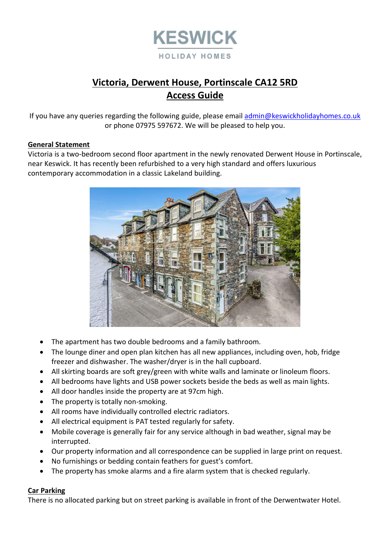

# **Victoria, Derwent House, Portinscale CA12 5RD Access Guide**

If you have any queries regarding the following guide, please email [admin@keswickholidayhomes.co.uk](mailto:admin@keswickholidayhomes.co.uk) or phone 07975 597672. We will be pleased to help you.

#### **General Statement**

Victoria is a two-bedroom second floor apartment in the newly renovated Derwent House in Portinscale, near Keswick. It has recently been refurbished to a very high standard and offers luxurious contemporary accommodation in a classic Lakeland building.



- The apartment has two double bedrooms and a family bathroom.
- The lounge diner and open plan kitchen has all new appliances, including oven, hob, fridge freezer and dishwasher. The washer/dryer is in the hall cupboard.
- All skirting boards are soft grey/green with white walls and laminate or linoleum floors.
- All bedrooms have lights and USB power sockets beside the beds as well as main lights.
- All door handles inside the property are at 97cm high.
- The property is totally non-smoking.
- All rooms have individually controlled electric radiators.
- All electrical equipment is PAT tested regularly for safety.
- Mobile coverage is generally fair for any service although in bad weather, signal may be interrupted.
- Our property information and all correspondence can be supplied in large print on request.
- No furnishings or bedding contain feathers for guest's comfort.
- The property has smoke alarms and a fire alarm system that is checked regularly.

#### **Car Parking**

There is no allocated parking but on street parking is available in front of the Derwentwater Hotel.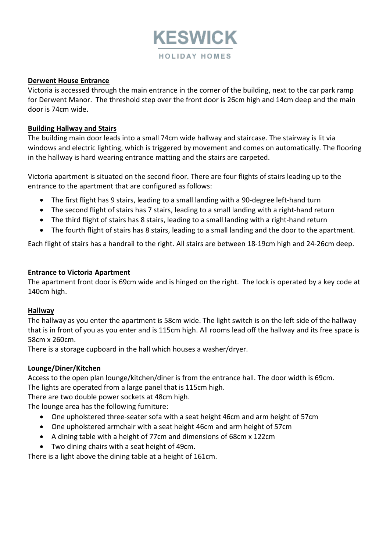

#### **Derwent House Entrance**

Victoria is accessed through the main entrance in the corner of the building, next to the car park ramp for Derwent Manor. The threshold step over the front door is 26cm high and 14cm deep and the main door is 74cm wide.

### **Building Hallway and Stairs**

The building main door leads into a small 74cm wide hallway and staircase. The stairway is lit via windows and electric lighting, which is triggered by movement and comes on automatically. The flooring in the hallway is hard wearing entrance matting and the stairs are carpeted.

Victoria apartment is situated on the second floor. There are four flights of stairs leading up to the entrance to the apartment that are configured as follows:

- The first flight has 9 stairs, leading to a small landing with a 90-degree left-hand turn
- The second flight of stairs has 7 stairs, leading to a small landing with a right-hand return
- The third flight of stairs has 8 stairs, leading to a small landing with a right-hand return
- The fourth flight of stairs has 8 stairs, leading to a small landing and the door to the apartment.

Each flight of stairs has a handrail to the right. All stairs are between 18-19cm high and 24-26cm deep.

#### **Entrance to Victoria Apartment**

The apartment front door is 69cm wide and is hinged on the right. The lock is operated by a key code at 140cm high.

#### **Hallway**

The hallway as you enter the apartment is 58cm wide. The light switch is on the left side of the hallway that is in front of you as you enter and is 115cm high. All rooms lead off the hallway and its free space is 58cm x 260cm.

There is a storage cupboard in the hall which houses a washer/dryer.

## **Lounge/Diner/Kitchen**

Access to the open plan lounge/kitchen/diner is from the entrance hall. The door width is 69cm. The lights are operated from a large panel that is 115cm high.

There are two double power sockets at 48cm high.

The lounge area has the following furniture:

- One upholstered three-seater sofa with a seat height 46cm and arm height of 57cm
- One upholstered armchair with a seat height 46cm and arm height of 57cm
- A dining table with a height of 77cm and dimensions of 68cm x 122cm
- Two dining chairs with a seat height of 49cm.

There is a light above the dining table at a height of 161cm.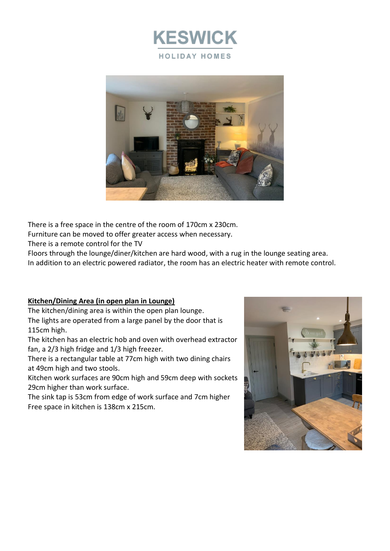



There is a free space in the centre of the room of 170cm x 230cm.

Furniture can be moved to offer greater access when necessary.

There is a remote control for the TV

Floors through the lounge/diner/kitchen are hard wood, with a rug in the lounge seating area. In addition to an electric powered radiator, the room has an electric heater with remote control.

## **Kitchen/Dining Area (in open plan in Lounge)**

The kitchen/dining area is within the open plan lounge. The lights are operated from a large panel by the door that is 115cm high.

The kitchen has an electric hob and oven with overhead extractor fan, a 2/3 high fridge and 1/3 high freezer.

There is a rectangular table at 77cm high with two dining chairs at 49cm high and two stools.

Kitchen work surfaces are 90cm high and 59cm deep with sockets 29cm higher than work surface.

The sink tap is 53cm from edge of work surface and 7cm higher Free space in kitchen is 138cm x 215cm.